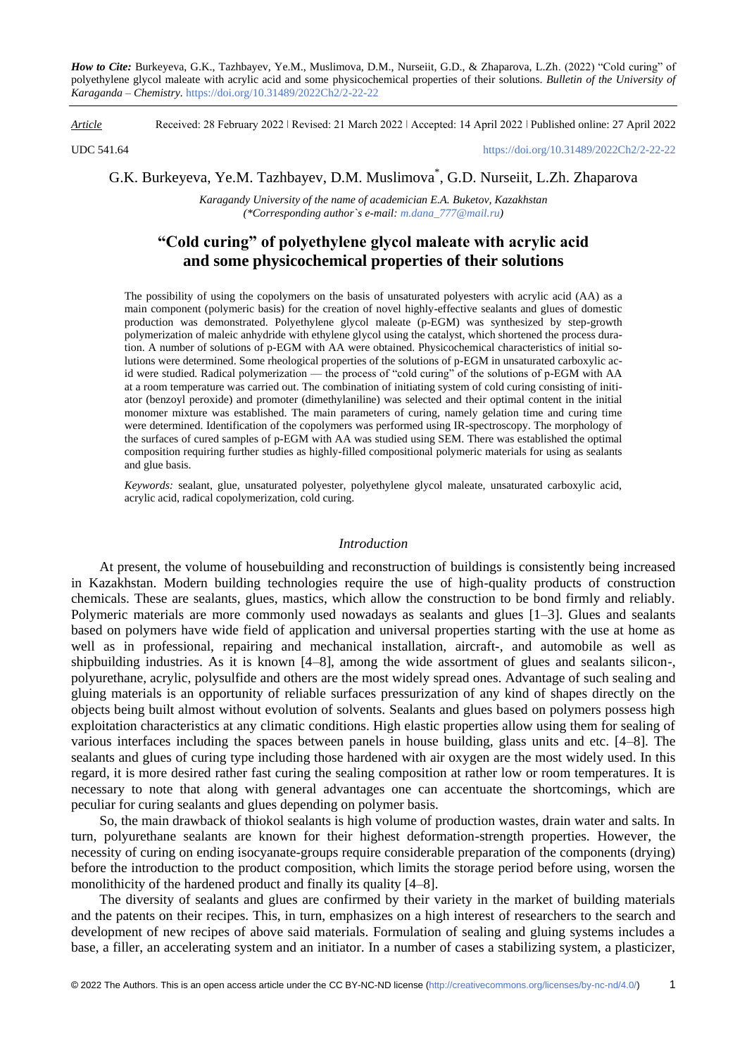*How to Cite:* Burkeyeva, G.K., Tazhbayev, Ye.M., Muslimova, D.M., Nurseiit, G.D., & Zhaparova, L.Zh. (2022) "Cold curing" of polyethylene glycol maleate with acrylic acid and some physicochemical properties of their solutions. *Bulletin of the University of Karaganda – Chemistry.* https://doi.org/10.31489/2022Ch2/2-22-22

*Article* Received: 28 February 2022 ǀ Revised: 21 March 2022 ǀ Accepted: 14 April 2022 ǀ Published online: 27 April 2022

UDC 541.64 <https://doi.org/10.31489/2022Ch2/2-22-22>

G.K. Burkeyeva, Ye.M. Tazhbayev, D.M. Muslimova\* , G.D. Nurseiit, L.Zh. Zhaparova

*Karagandy University of the name of academician E.A. Buketov, Kazakhstan (\*Corresponding author`s e-mail: [m.dana\\_777@mail.ru\)](mailto:m.dana_777@mail.ru)*

# **"Cold curing" of polyethylene glycol maleate with acrylic acid and some physicochemical properties of their solutions**

The possibility of using the copolymers on the basis of unsaturated polyesters with acrylic acid (AA) as a main component (polymeric basis) for the creation of novel highly-effective sealants and glues of domestic production was demonstrated. Polyethylene glycol maleate (p-EGM) was synthesized by step-growth polymerization of maleic anhydride with ethylene glycol using the catalyst, which shortened the process duration. A number of solutions of p-EGM with AA were obtained. Physicochemical characteristics of initial solutions were determined. Some rheological properties of the solutions of p-EGM in unsaturated carboxylic acid were studied. Radical polymerization — the process of "cold curing" of the solutions of p-EGM with AA at a room temperature was carried out. The combination of initiating system of cold curing consisting of initiator (benzoyl peroxide) and promoter (dimethylaniline) was selected and their optimal content in the initial monomer mixture was established. The main parameters of curing, namely gelation time and curing time were determined. Identification of the copolymers was performed using IR-spectroscopy. The morphology of the surfaces of cured samples of p-EGM with AA was studied using SEM. There was established the optimal composition requiring further studies as highly-filled compositional polymeric materials for using as sealants and glue basis.

*Keywords:* sealant, glue, unsaturated polyester, polyethylene glycol maleate, unsaturated carboxylic acid, acrylic acid, radical copolymerization, cold curing.

## *Introduction*

At present, the volume of housebuilding and reconstruction of buildings is consistently being increased in Kazakhstan. Modern building technologies require the use of high-quality products of construction chemicals. These are sealants, glues, mastics, which allow the construction to be bond firmly and reliably. Polymeric materials are more commonly used nowadays as sealants and glues [1–3]. Glues and sealants based on polymers have wide field of application and universal properties starting with the use at home as well as in professional, repairing and mechanical installation, aircraft-, and automobile as well as shipbuilding industries. As it is known [4–8], among the wide assortment of glues and sealants silicon-, polyurethane, acrylic, polysulfide and others are the most widely spread ones. Advantage of such sealing and gluing materials is an opportunity of reliable surfaces pressurization of any kind of shapes directly on the objects being built almost without evolution of solvents. Sealants and glues based on polymers possess high exploitation characteristics at any climatic conditions. High elastic properties allow using them for sealing of various interfaces including the spaces between panels in house building, glass units and etc. [4–8]. The sealants and glues of curing type including those hardened with air oxygen are the most widely used. In this regard, it is more desired rather fast curing the sealing composition at rather low or room temperatures. It is necessary to note that along with general advantages one can accentuate the shortcomings, which are peculiar for curing sealants and glues depending on polymer basis.

So, the main drawback of thiokol sealants is high volume of production wastes, drain water and salts. In turn, polyurethane sealants are known for their highest deformation-strength properties. However, the necessity of curing on ending isocyanate-groups require considerable preparation of the components (drying) before the introduction to the product composition, which limits the storage period before using, worsen the monolithicity of the hardened product and finally its quality [4–8].

The diversity of sealants and glues are confirmed by their variety in the market of building materials and the patents on their recipes. This, in turn, emphasizes on a high interest of researchers to the search and development of new recipes of above said materials. Formulation of sealing and gluing systems includes a base, a filler, an accelerating system and an initiator. In a number of cases a stabilizing system, a plasticizer,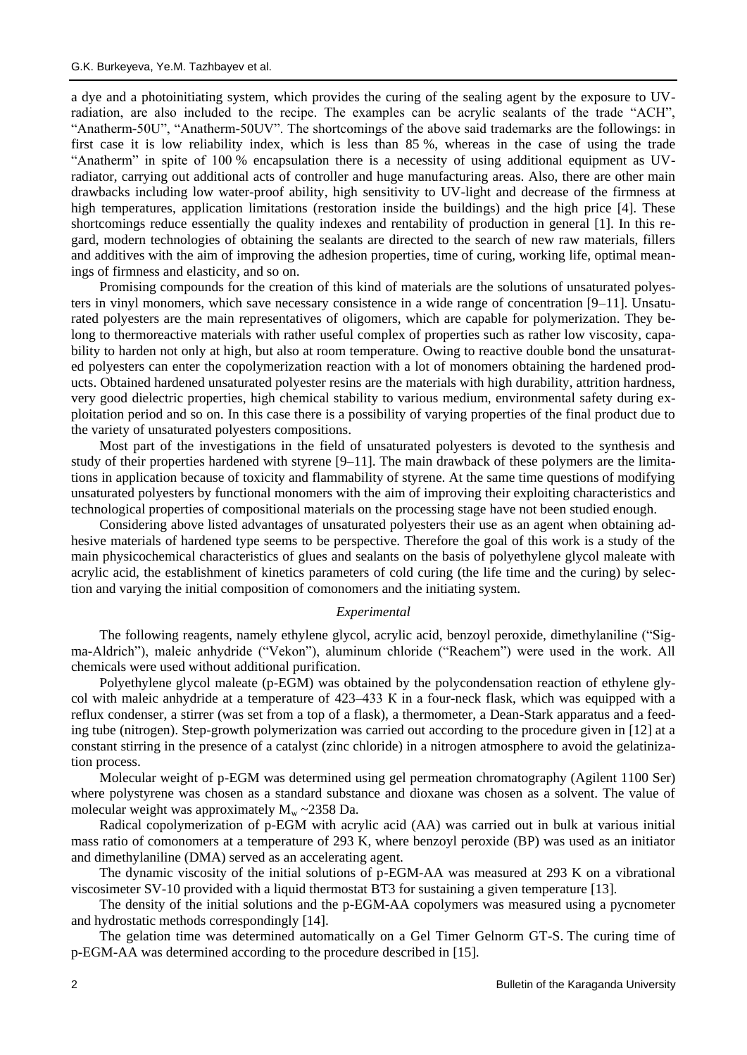a dye and a photoinitiating system, which provides the curing of the sealing agent by the exposure to UVradiation, are also included to the recipe. The examples can be acrylic sealants of the trade "ACH", "Anatherm-50U", "Anatherm-50UV". The shortcomings of the above said trademarks are the followings: in first case it is low reliability index, which is less than 85 %, whereas in the case of using the trade "Anatherm" in spite of 100 % encapsulation there is a necessity of using additional equipment as UVradiator, carrying out additional acts of controller and huge manufacturing areas. Also, there are other main drawbacks including low water-proof ability, high sensitivity to UV-light and decrease of the firmness at high temperatures, application limitations (restoration inside the buildings) and the high price [4]. These shortcomings reduce essentially the quality indexes and rentability of production in general [1]. In this regard, modern technologies of obtaining the sealants are directed to the search of new raw materials, fillers and additives with the aim of improving the adhesion properties, time of curing, working life, optimal meanings of firmness and elasticity, and so on.

Promising compounds for the creation of this kind of materials are the solutions of unsaturated polyesters in vinyl monomers, which save necessary consistence in a wide range of concentration [9–11]. Unsaturated polyesters are the main representatives of oligomers, which are capable for polymerization. They belong to thermoreactive materials with rather useful complex of properties such as rather low viscosity, capability to harden not only at high, but also at room temperature. Owing to reactive double bond the unsaturated polyesters can enter the copolymerization reaction with a lot of monomers obtaining the hardened products. Obtained hardened unsaturated polyester resins are the materials with high durability, attrition hardness, very good dielectric properties, high chemical stability to various medium, environmental safety during exploitation period and so on. In this case there is a possibility of varying properties of the final product due to the variety of unsaturated polyesters compositions.

Most part of the investigations in the field of unsaturated polyesters is devoted to the synthesis and study of their properties hardened with styrene [9–11]. The main drawback of these polymers are the limitations in application because of toxicity and flammability of styrene. At the same time questions of modifying unsaturated polyesters by functional monomers with the aim of improving their exploiting characteristics and technological properties of compositional materials on the processing stage have not been studied enough.

Considering above listed advantages of unsaturated polyesters their use as an agent when obtaining adhesive materials of hardened type seems to be perspective. Therefore the goal of this work is a study of the main physicochemical characteristics of glues and sealants on the basis of polyethylene glycol maleate with acrylic acid, the establishment of kinetics parameters of cold curing (the life time and the curing) by selection and varying the initial composition of comonomers and the initiating system.

## *Experimental*

The following reagents, namely ethylene glycol, acrylic acid, benzoyl peroxide, dimethylaniline ("Sigma-Aldrich"), maleic anhydride ("Vekon"), aluminum chloride ("Reachem") were used in the work. All chemicals were used without additional purification.

Polyethylene glycol maleate (p-EGM) was obtained by the polycondensation reaction of ethylene glycol with maleic anhydride at a temperature of 423–433 К in a four-neck flask, which was equipped with a reflux condenser, a stirrer (was set from a top of a flask), a thermometer, a Dean-Stark apparatus and a feeding tube (nitrogen). Step-growth polymerization was carried out according to the procedure given in [12] at a constant stirring in the presence of a catalyst (zinc chloride) in a nitrogen atmosphere to avoid the gelatinization process.

Molecular weight of p-EGM was determined using gel permeation chromatography (Agilent 1100 Ser) where polystyrene was chosen as a standard substance and dioxane was chosen as a solvent. The value of molecular weight was approximately  $M_w \sim 2358$  Da.

Radical copolymerization of p-EGM with acrylic acid (AA) was carried out in bulk at various initial mass ratio of comonomers at a temperature of 293 K, where benzoyl peroxide (BP) was used as an initiator and dimethylaniline (DMA) served as an accelerating agent.

The dynamic viscosity of the initial solutions of p-EGM-AA was measured at 293 K on a vibrational viscosimeter SV-10 provided with a liquid thermostat BT3 for sustaining a given temperature [13].

The density of the initial solutions and the p-EGM-AA copolymers was measured using a pycnometer and hydrostatic methods correspondingly [14].

The gelation time was determined automatically on a Gel Timer Gelnorm GT-S. The curing time of p-EGM-AA was determined according to the procedure described in [15].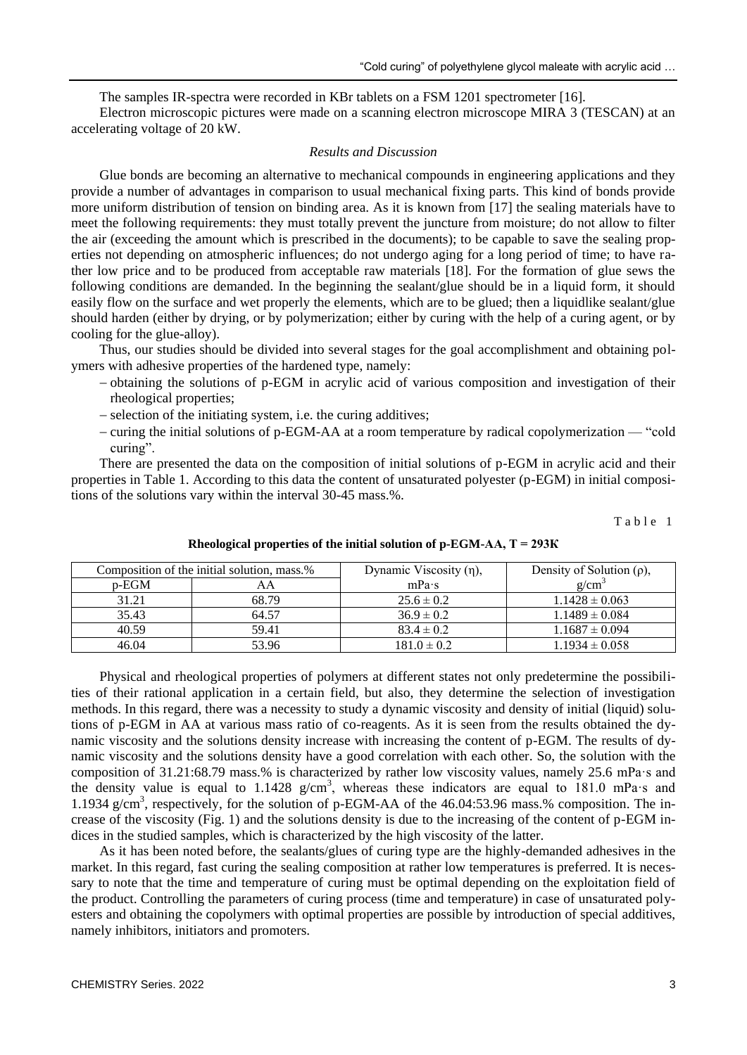The samples IR-spectra were recorded in KBr tablets on a FSM 1201 spectrometer [16].

Electron microscopic pictures were made on a scanning electron microscope MIRA 3 (TESCAN) at an accelerating voltage of 20 kW.

### *Results and Discussion*

Glue bonds are becoming an alternative to mechanical compounds in engineering applications and they provide a number of advantages in comparison to usual mechanical fixing parts. This kind of bonds provide more uniform distribution of tension on binding area. As it is known from [17] the sealing materials have to meet the following requirements: they must totally prevent the juncture from moisture; do not allow to filter the air (exceeding the amount which is prescribed in the documents); to be capable to save the sealing properties not depending on atmospheric influences; do not undergo aging for a long period of time; to have rather low price and to be produced from acceptable raw materials [18]. For the formation of glue sews the following conditions are demanded. In the beginning the sealant/glue should be in a liquid form, it should easily flow on the surface and wet properly the elements, which are to be glued; then a liquidlike sealant/glue should harden (either by drying, or by polymerization; either by curing with the help of a curing agent, or by cooling for the glue-alloy).

Thus, our studies should be divided into several stages for the goal accomplishment and obtaining polymers with adhesive properties of the hardened type, namely:

- obtaining the solutions of p-EGM in acrylic acid of various composition and investigation of their rheological properties;
- selection of the initiating system, i.e. the curing additives;
- curing the initial solutions of p-EGM-AA at a room temperature by radical copolymerization "cold curing".

There are presented the data on the composition of initial solutions of p-EGM in acrylic acid and their properties in Table 1. According to this data the content of unsaturated polyester (p-EGM) in initial compositions of the solutions vary within the interval 30-45 mass.%.

Table 1

| Composition of the initial solution, mass.% |       | Dynamic Viscosity $(\eta)$ , | Density of Solution $(\rho)$ , |
|---------------------------------------------|-------|------------------------------|--------------------------------|
| $p$ -EGM                                    | AΑ    | mPa·s                        | $g/cm^3$                       |
| 31.21                                       | 68.79 | $25.6 \pm 0.2$               | $1.1428 \pm 0.063$             |
| 35.43                                       | 64.57 | $36.9 \pm 0.2$               | $1.1489 \pm 0.084$             |
| 40.59                                       | 59.41 | $83.4 \pm 0.2$               | $1.1687 \pm 0.094$             |
| 46.04                                       | 53.96 | $181.0 \pm 0.2$              | $1.1934 \pm 0.058$             |

**Rheological properties of the initial solution of p-EGM-AA, T = 293К**

Physical and rheological properties of polymers at different states not only predetermine the possibilities of their rational application in a certain field, but also, they determine the selection of investigation methods. In this regard, there was a necessity to study a dynamic viscosity and density of initial (liquid) solutions of p-EGM in AA at various mass ratio of co-reagents. As it is seen from the results obtained the dynamic viscosity and the solutions density increase with increasing the content of p-EGM. The results of dynamic viscosity and the solutions density have a good correlation with each other. So, the solution with the composition of 31.21:68.79 mass.% is characterized by rather low viscosity values, namely 25.6 mPa·s and the density value is equal to  $1.1428$  g/cm<sup>3</sup>, whereas these indicators are equal to 181.0 mPa·s and 1.1934 g/cm<sup>3</sup>, respectively, for the solution of p-EGM-AA of the 46.04:53.96 mass.% composition. The increase of the viscosity (Fig. 1) and the solutions density is due to the increasing of the content of p-EGM indices in the studied samples, which is characterized by the high viscosity of the latter.

As it has been noted before, the sealants/glues of curing type are the highly-demanded adhesives in the market. In this regard, fast curing the sealing composition at rather low temperatures is preferred. It is necessary to note that the time and temperature of curing must be optimal depending on the exploitation field of the product. Controlling the parameters of curing process (time and temperature) in case of unsaturated polyesters and obtaining the copolymers with optimal properties are possible by introduction of special additives, namely inhibitors, initiators and promoters.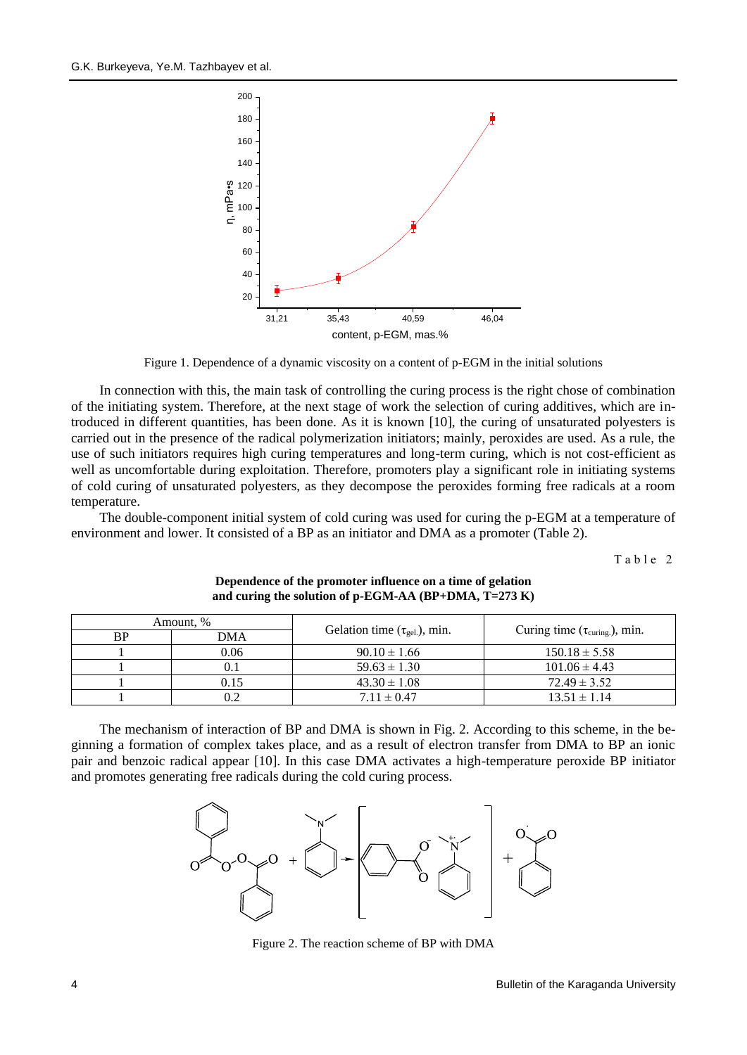

Figure 1. Dependence of a dynamic viscosity on a content of p-EGM in the initial solutions

In connection with this, the main task of controlling the curing process is the right chose of combination of the initiating system. Therefore, at the next stage of work the selection of curing additives, which are introduced in different quantities, has been done. As it is known [10], the curing of unsaturated polyesters is carried out in the presence of the radical polymerization initiators; mainly, peroxides are used. As a rule, the use of such initiators requires high curing temperatures and long-term curing, which is not cost-efficient as well as uncomfortable during exploitation. Therefore, promoters play a significant role in initiating systems of cold curing of unsaturated polyesters, as they decompose the peroxides forming free radicals at a room temperature.

The double-component initial system of cold curing was used for curing the p-EGM at a temperature of environment and lower. It consisted of a BP as an initiator and DMA as a promoter (Table 2).

Table 2

| Amount, % |      |                                     |                                             |  |
|-----------|------|-------------------------------------|---------------------------------------------|--|
| ВP        | DMA  | Gelation time $(\tau_{gel})$ , min. | Curing time $(\tau_{\text{curing}})$ , min. |  |
|           | 0.06 | $90.10 \pm 1.66$                    | $150.18 \pm 5.58$                           |  |
|           |      | $59.63 \pm 1.30$                    | $101.06 \pm 4.43$                           |  |
|           | 0.15 | $43.30 \pm 1.08$                    | $72.49 \pm 3.52$                            |  |
|           |      | $7.11 \pm 0.47$                     | $13.51 \pm 1.14$                            |  |

## **Dependence of the promoter influence on a time of gelation and curing the solution of p-EGM-AA (BP+DMA, T=273 K)**

The mechanism of interaction of BP and DMA is shown in Fig. 2. According to this scheme, in the beginning a formation of complex takes place, and as a result of electron transfer from DMA to BP an ionic pair and benzoic radical appear [10]. In this case DMA activates a high-temperature peroxide BP initiator and promotes generating free radicals during the cold curing process.



Figure 2. The reaction scheme of BP with DMA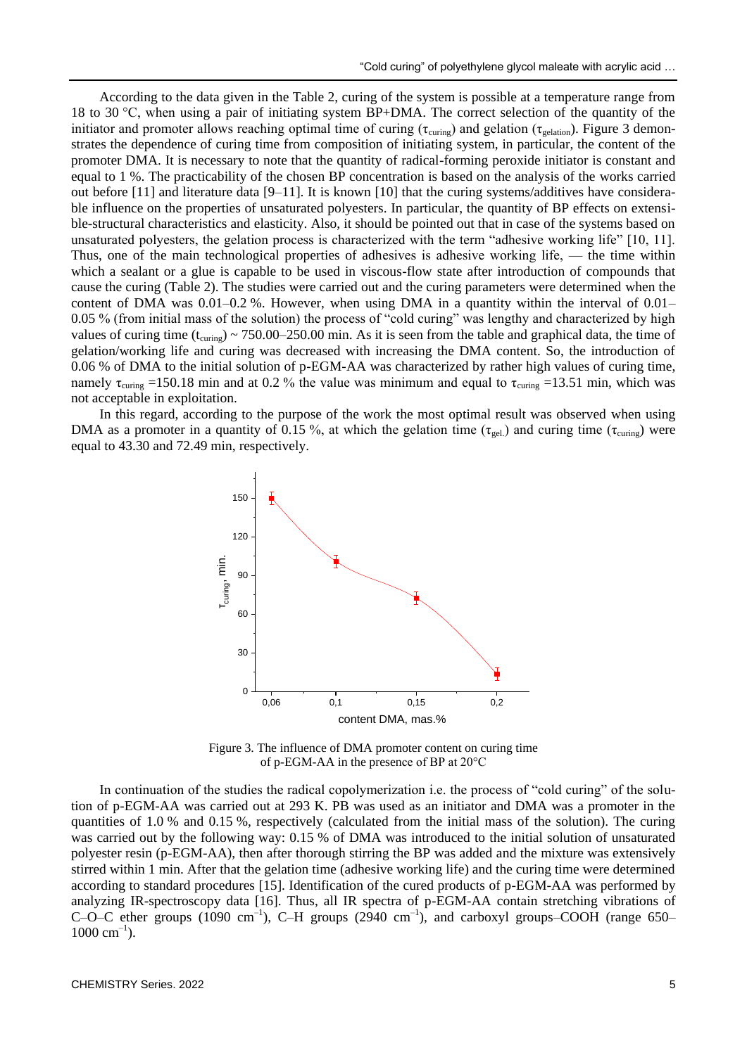According to the data given in the Table 2, curing of the system is possible at a temperature range from 18 to 30 °С, when using a pair of initiating system BP+DMA. The correct selection of the quantity of the initiator and promoter allows reaching optimal time of curing ( $\tau_{\text{curing}}$ ) and gelation ( $\tau_{\text{gelation}}$ ). Figure 3 demonstrates the dependence of curing time from composition of initiating system, in particular, the content of the promoter DMA. It is necessary to note that the quantity of radical-forming peroxide initiator is constant and equal to 1 %. The practicability of the chosen BP concentration is based on the analysis of the works carried out before [11] and literature data [9–11]. It is known [10] that the curing systems/additives have considerable influence on the properties of unsaturated polyesters. In particular, the quantity of BP effects on extensible-structural characteristics and elasticity. Also, it should be pointed out that in case of the systems based on unsaturated polyesters, the gelation process is characterized with the term "adhesive working life" [10, 11]. Thus, one of the main technological properties of adhesives is adhesive working life, — the time within which a sealant or a glue is capable to be used in viscous-flow state after introduction of compounds that cause the curing (Table 2). The studies were carried out and the curing parameters were determined when the content of DMA was  $0.01-0.2$ %. However, when using DMA in a quantity within the interval of  $0.01-$ 0.05 % (from initial mass of the solution) the process of "cold curing" was lengthy and characterized by high values of curing time  $(t_{\text{curing}}) \sim 750.00-250.00$  min. As it is seen from the table and graphical data, the time of gelation/working life and curing was decreased with increasing the DMA content. So, the introduction of 0.06 % of DMA to the initial solution of p-EGM-AA was characterized by rather high values of curing time, namely  $\tau_{\text{curine}} = 150.18$  min and at 0.2 % the value was minimum and equal to  $\tau_{\text{curine}} = 13.51$  min, which was not acceptable in exploitation.

In this regard, according to the purpose of the work the most optimal result was observed when using DMA as a promoter in a quantity of 0.15 %, at which the gelation time ( $\tau_{\text{gel}}$ ) and curing time ( $\tau_{\text{curing}}$ ) were equal to 43.30 and 72.49 min, respectively.



Figure 3. The influence of DMA promoter content on curing time of p-EGM-AA in the presence of BP at 20°С

In continuation of the studies the radical copolymerization i.e. the process of "cold curing" of the solution of p-EGM-AA was carried out at 293 K. PB was used as an initiator and DMA was a promoter in the quantities of 1.0 % and 0.15 %, respectively (calculated from the initial mass of the solution). The curing was carried out by the following way: 0.15 % of DMA was introduced to the initial solution of unsaturated polyester resin (p-EGM-AA), then after thorough stirring the BP was added and the mixture was extensively stirred within 1 min. After that the gelation time (adhesive working life) and the curing time were determined according to standard procedures [15]. Identification of the cured products of p-EGM-AA was performed by analyzing IR-spectroscopy data [16]. Thus, all IR spectra of p-EGM-AA contain stretching vibrations of C–O–C ether groups (1090 cm<sup>-1</sup>), C–H groups (2940 cm<sup>-1</sup>), and carboxyl groups–COOH (range 650–  $1000 \text{ cm}^{-1}$ ).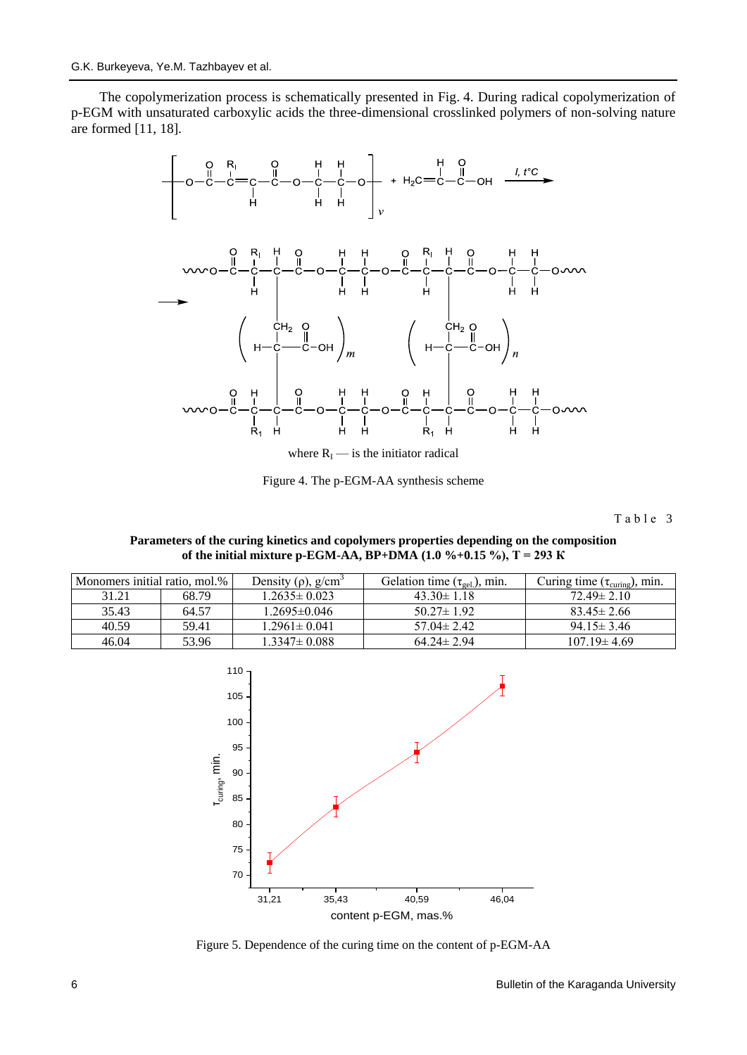The copolymerization process is schematically presented in Fig. 4. During radical copolymerization of p-EGM with unsaturated carboxylic acids the three-dimensional crosslinked polymers of non-solving nature are formed [11, 18].



where  $R<sub>I</sub>$  — is the initiator radical

Figure 4. The p-EGM-AA synthesis scheme

Table 3

**Parameters of the curing kinetics and copolymers properties depending on the composition of the initial mixture p-EGM-AA, BP+DMA (1.0 %+0.15 %), Т = 293 К**

| Monomers initial ratio, mol.% |       | Density $(\rho)$ , g/cm <sup>3</sup> | Gelation time $(\tau_{gel.})$ , min. | Curing time $(\tau_{\text{curing}})$ , min. |
|-------------------------------|-------|--------------------------------------|--------------------------------------|---------------------------------------------|
| 31.21                         | 68.79 | $1.2635 \pm 0.023$                   | $43.30 \pm 1.18$                     | $72.49 \pm 2.10$                            |
| 35.43                         | 64.57 | 1.2695±0.046                         | $50.27 \pm 1.92$                     | $83.45 \pm 2.66$                            |
| 40.59                         | 59.41 | $1.2961 \pm 0.041$                   | $57.04 \pm 2.42$                     | $94.15 \pm 3.46$                            |
| 46.04                         | 53.96 | $1.3347 \pm 0.088$                   | $64.24 \pm 2.94$                     | $107.19 \pm 4.69$                           |



Figure 5. Dependence of the curing time on the content of p-EGM-AA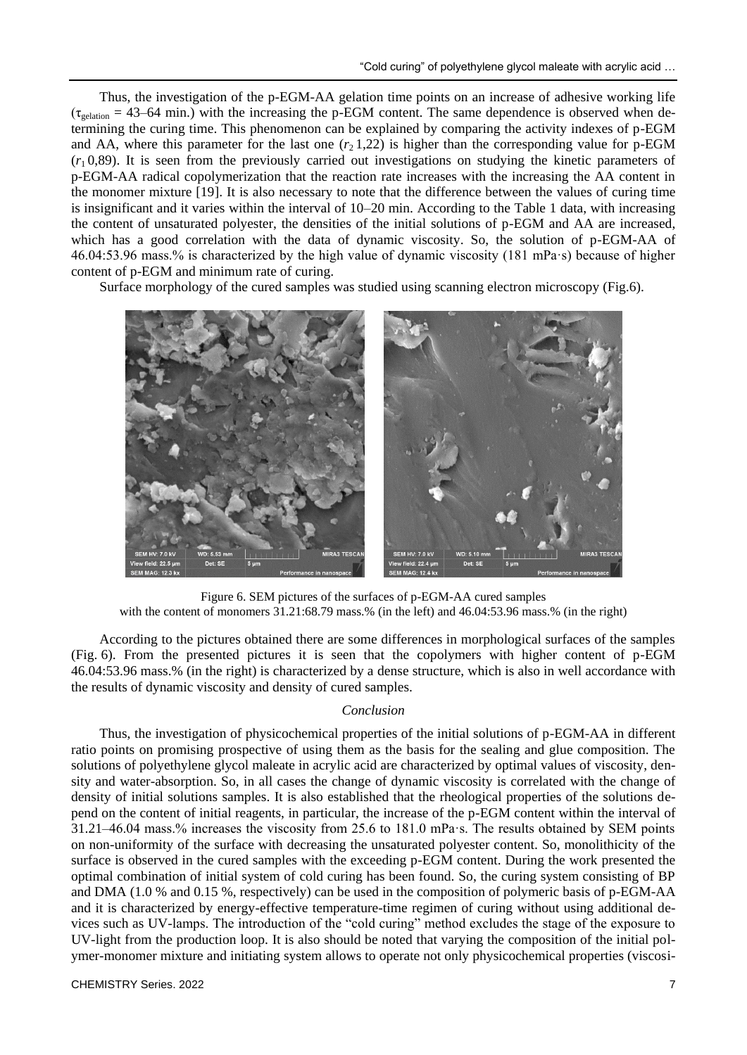Thus, the investigation of the p-EGM-AA gelation time points on an increase of adhesive working life  $(\tau_{gelation} = 43–64 \text{ min.})$  with the increasing the p-EGM content. The same dependence is observed when determining the curing time. This phenomenon can be explained by comparing the activity indexes of p-EGM and AA, where this parameter for the last one  $(r_2 1,22)$  is higher than the corresponding value for p-EGM  $(r_1 0.89)$ . It is seen from the previously carried out investigations on studying the kinetic parameters of p-EGM-AA radical copolymerization that the reaction rate increases with the increasing the AA content in the monomer mixture [19]. It is also necessary to note that the difference between the values of curing time is insignificant and it varies within the interval of 10–20 min. According to the Table 1 data, with increasing the content of unsaturated polyester, the densities of the initial solutions of p-EGM and AA are increased, which has a good correlation with the data of dynamic viscosity. So, the solution of p-EGM-AA of 46.04:53.96 mass.% is characterized by the high value of dynamic viscosity (181 mPa·s) because of higher content of p-EGM and minimum rate of curing.

Surface morphology of the cured samples was studied using scanning electron microscopy (Fig.6).



Figure 6. SEM pictures of the surfaces of p-EGM-AA cured samples with the content of monomers 31.21:68.79 mass.% (in the left) and 46.04:53.96 mass.% (in the right)

According to the pictures obtained there are some differences in morphological surfaces of the samples (Fig. 6). From the presented pictures it is seen that the copolymers with higher content of p-EGM 46.04:53.96 mass.% (in the right) is characterized by a dense structure, which is also in well accordance with the results of dynamic viscosity and density of cured samples.

## *Conclusion*

Thus, the investigation of physicochemical properties of the initial solutions of p-EGM-AA in different ratio points on promising prospective of using them as the basis for the sealing and glue composition. The solutions of polyethylene glycol maleate in acrylic acid are characterized by optimal values of viscosity, density and water-absorption. So, in all cases the change of dynamic viscosity is correlated with the change of density of initial solutions samples. It is also established that the rheological properties of the solutions depend on the content of initial reagents, in particular, the increase of the p-EGM content within the interval of 31.21–46.04 mass.% increases the viscosity from 25.6 to 181.0 mPa·s. The results obtained by SEM points on non-uniformity of the surface with decreasing the unsaturated polyester content. So, monolithicity of the surface is observed in the cured samples with the exceeding p-EGM content. During the work presented the optimal combination of initial system of cold curing has been found. So, the curing system consisting of BP and DMA (1.0 % and 0.15 %, respectively) can be used in the composition of polymeric basis of p-EGM-AA and it is characterized by energy-effective temperature-time regimen of curing without using additional devices such as UV-lamps. The introduction of the "cold curing" method excludes the stage of the exposure to UV-light from the production loop. It is also should be noted that varying the composition of the initial polymer-monomer mixture and initiating system allows to operate not only physicochemical properties (viscosi-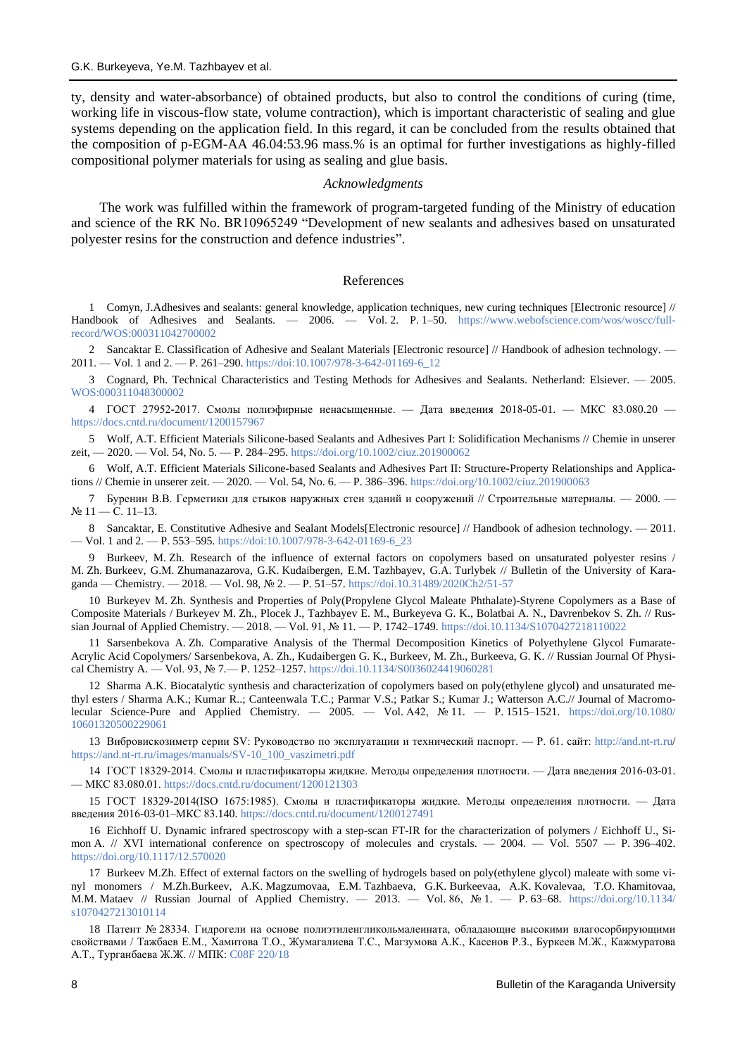ty, density and water-absorbance) of obtained products, but also to control the conditions of curing (time, working life in viscous-flow state, volume contraction), which is important characteristic of sealing and glue systems depending on the application field. In this regard, it can be concluded from the results obtained that the composition of p-EGM-AA 46.04:53.96 mass.% is an optimal for further investigations as highly-filled compositional polymer materials for using as sealing and glue basis.

## *Acknowledgments*

The work was fulfilled within the framework of program-targeted funding of the Ministry of education and science of the RK No. BR10965249 "Development of new sealants and adhesives based on unsaturated polyester resins for the construction and defence industries".

#### References

1 Comyn, J.Adhesives and sealants: general knowledge, application techniques, new curing techniques [Electronic resource] // Handbook of Adhesives and Sealants. — 2006. — Vol. 2. P. 1–50. [https://www.webofscience.com/wos/woscc/full](https://www.webofscience.com/wos/woscc/full-record/WOS:000311042700002)[record/WOS:000311042700002](https://www.webofscience.com/wos/woscc/full-record/WOS:000311042700002)

2 Sancaktar E. Classification of Adhesive and Sealant Materials [Electronic resource] // Handbook of adhesion technology. — 2011. — Vol. 1 and 2. — P. 261–290. [https://doi:10.1007/978-3-642-01169-6\\_12](https://doi:10.1007/978-3-642-01169-6_12)

3 Cognard, Ph. Technical Characteristics and Testing Methods for Adhesives and Sealants. Netherland: Elsiever. — 2005. [WOS:000311048300002](https://doi/)

4 ГОСТ 27952-2017. Смолы полиэфирные ненасыщенные. — Дата введения 2018-05-01. — МКС 83.080.20 <https://docs.cntd.ru/document/1200157967>

5 Wolf, A.T. Efficient Materials Silicone-based Sealants and Adhesives Part I: Solidification Mechanisms // Chemie in unserer zeit, — 2020. — Vol. 54, No. 5. — P. 284–295.<https://doi.org/10.1002/ciuz.201900062>

6 Wolf, A.T. Efficient Materials Silicone-based Sealants and Adhesives Part II: Structure-Property Relationships and Applications // Chemie in unserer zeit. — 2020. — Vol. 54, No. 6. — P. 386–396.<https://doi.org/10.1002/ciuz.201900063>

7 Буренин В.В. Герметики для стыков наружных стен зданий и сооружений // Строительные материалы. — 2000. — № 11 — С. 11–13.

8 Sancaktar, E. Constitutive Adhesive and Sealant Models[Electronic resource] // Handbook of adhesion technology. — 2011. — Vol. 1 and 2. — P. 553–595[. https://doi:10.1007/978-3-642-01169-6\\_23](https://doi:10.1007/978-3-642-01169-6_23)

9 Burkeev, M. Zh. Research of the influence of external factors on copolymers based on unsaturated polyester resins / M. Zh. Burkeev, G.M. Zhumanazarova, G.K. Kudaibergen, E.M. Tazhbayev, G.A. Turlybek // Bulletin of the University of Karaganda — Chemistry. — 2018. — Vol. 98, № 2. — P. 51–57.<https://doi.10.31489/2020Ch2/51-57>

10 Burkeyev M. Zh. Synthesis and Properties of Poly(Propylene Glycol Maleate Phthalate)-Styrene Copolymers as a Base of Composite Materials / Burkeyev M. Zh., Plocek J., Tazhbayev E. M., Burkeyeva G. K., Bolatbai A. N., Davrenbekov S. Zh. // Russian Journal of Applied Chemistry. — 2018. — Vol. 91, № 11. — P. 1742–1749. <https://doi.10.1134/S1070427218110022>

11 Sarsenbekova A. Zh. Comparative Analysis of the Thermal Decomposition Kinetics of Polyethylene Glycol Fumarate-Acrylic Acid Copolymers/ Sarsenbekova, A. Zh., Kudaibergen G. K., Burkeev, M. Zh., Burkeeva, G. K. // Russian Journal Of Physical Chemistry A. — Vol. 93, № 7.— P. 1252–1257. <https://doi.10.1134/S0036024419060281>

12 Sharma A.K. Biocatalytic synthesis and characterization of copolymers based on poly(ethylene glycol) and unsaturated methyl esters / Sharma A.K.; Kumar R..; Canteenwala T.C.; Parmar V.S.; Patkar S.; Kumar J.; Watterson A.C.// Journal of Macromolecular Science-Pure and Applied Chemistry. — 2005. — Vol. A42, № 11. — P. 1515–1521. [https://doi.org/10.1080/](https://doi.org/10.1080/10601320500229061) [10601320500229061](https://doi.org/10.1080/10601320500229061)

13 Вибровискозиметр серии SV: Руководство по эксплуатации и технический паспорт. — Р. 61. сайт:<http://and.nt-rt.ru/> [https://and.nt-rt.ru/images/manuals/SV-10\\_100\\_vaszimetri.pdf](https://and.nt-rt.ru/images/manuals/SV-10_100_vaszimetri.pdf)

14 ГОСТ 18329-2014. Смолы и пластификаторы жидкие. Методы определения плотности. — Дата введения 2016-03-01. — МКС 83.080.01[. https://docs.cntd.ru/document/1200121303](https://docs.cntd.ru/document/1200121303)

15 ГОСТ 18329-2014(ISO 1675:1985). Смолы и пластификаторы жидкие. Методы определения плотности. — Дата введения 2016-03-01–МКС 83.140.<https://docs.cntd.ru/document/1200127491>

16 Eichhoff U. Dynamic infrared spectroscopy with a step-scan FT-IR for the characterization of polymers / Eichhoff U., Simon A. // XVI international conference on spectroscopy of molecules and crystals. — 2004. — Vol. 5507 — P. 396–402. <https://doi.org/10.1117/12.570020>

17 Burkeev M.Zh. Effect of external factors on the swelling of hydrogels based on poly(ethylene glycol) maleate with some vinyl monomers / M.Zh.Burkeev, A.K. Magzumovaa, E.M. Tazhbaeva, G.K. Burkeevaa, A.K. Kovalevaa, T.O. Khamitovaa, M.M. Mataev // Russian Journal of Applied Chemistry. — 2013. — Vol. 86, Nº 1. — P. 63–68. [https://doi.org/10.1134/](https://doi.org/10.1134/s1070427213010114) [s1070427213010114](https://doi.org/10.1134/s1070427213010114)

18 Патент № 28334. Гидрогели на основе полиэтиленгликольмалеината, обладающие высокими влагосорбирующими свойствами / Тажбаев Е.М., Хамитова Т.О., Жумагалиева Т.С., Магзумова А.К., Касенов Р.З., Буркеев М.Ж., Кажмуратова А.Т., Турганбаева Ж.Ж. // МПК: [C08F 220/18](https://kzpatents.com/patents/c08f-220-18)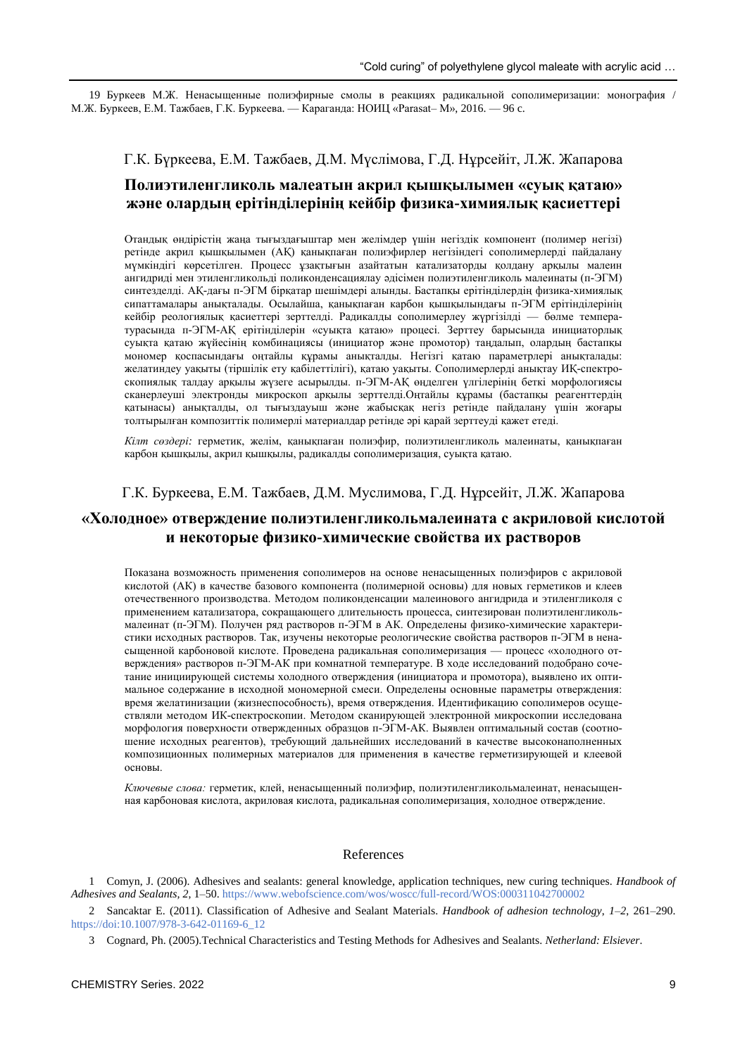19 Буркеев М.Ж. Ненасыщенные полиэфирные смолы в реакциях радикальной сополимеризации: монография / М.Ж. Буркеев, Е.М. Тажбаев, Г.К. Буркеева. — Караганда: НОИЦ «Parasat– M», 2016. — 96 c.

## Г.К. Бүркеева, Е.М. Тажбаев, Д.М. Мүслімова, Г.Д. Нұрсейіт, Л.Ж. Жапарова

# **Полиэтиленгликоль малеатын акрил қышқылымен «суық қатаю» және олардың ерітінділерінің кейбір физика-химиялық қасиеттері**

Отандық өндірістің жаңа тығыздағыштар мен желімдер үшін негіздік компонент (полимер негізі) ретінде акрил қышқылымен (АҚ) қанықпаған полиэфирлер негізіндегі сополимерлерді пайдалану мүмкіндігі көрсетілген. Процесс ұзақтығын азайтатын катализаторды қолдану арқылы малеин ангидриді мен этиленгликольді поликонденсациялау әдісімен полиэтиленгликоль малеинаты (п-ЭГМ) синтезделді. АҚ-дағы п-ЭГМ бірқатар шешімдері алынды. Бастапқы ерітінділердің физика-химиялық сипаттамалары анықталады. Осылайша, қанықпаған карбон қышқылындағы п-ЭГМ ерітінділерінің кейбір реологиялық қасиеттері зерттелді. Радикалды сополимерлеу жүргізілді — бөлме температурасында п-ЭГМ-AҚ ерітінділерін «суықта қатаю» процесі. Зерттеу барысында инициаторлық суықта қатаю жүйесінің комбинациясы (инициатор және промотор) таңдалып, олардың бастапқы мономер қоспасындағы оңтайлы құрамы анықталды. Негізгі қатаю параметрлері анықталады: желатиндеу уақыты (тіршілік ету қабілеттілігі), қатаю уақыты. Сополимерлерді анықтау ИҚ-спектроскопиялық талдау арқылы жүзеге асырылды. п-ЭГМ-AҚ өңделген үлгілерінің беткі морфологиясы сканерлеуші электронды микроскоп арқылы зерттелді.Оңтайлы құрамы (бастапқы реагенттердің қатынасы) анықталды, ол тығыздауыш және жабысқақ негіз ретінде пайдалану үшін жоғары толтырылған композиттік полимерлі материалдар ретінде әрі қарай зерттеуді қажет етеді.

*Кілт сөздері:* герметик, желім, қанықпаған полиэфир, полиэтиленгликоль малеинаты, қанықпаған карбон қышқылы, акрил қышқылы, радикалды сополимеризация, суықта қатаю.

## Г.К. Буркеева, Е.М. Тажбаев, Д.М. Муслимова, Г.Д. Нұрсейіт, Л.Ж. Жапарова

# **«Холодное» отверждение полиэтиленгликольмалеината с акриловой кислотой и некоторые физико-химические свойства их растворов**

Показана возможность применения сополимеров на основе ненасыщенных полиэфиров с акриловой кислотой (АК) в качестве базового компонента (полимерной основы) для новых герметиков и клеев отечественного производства. Методом поликонденсации малеинового ангидрида и этиленгликоля с применением катализатора, сокращающего длительность процесса, синтезирован полиэтиленгликольмалеинат (п-ЭГМ). Получен ряд растворов п-ЭГМ в АК. Определены физико-химические характеристики исходных растворов. Так, изучены некоторые реологические свойства растворов п-ЭГМ в ненасыщенной карбоновой кислоте. Проведена радикальная сополимеризация — процесс «холодного отверждения» растворов п-ЭГМ-АК при комнатной температуре. В ходе исследований подобрано сочетание инициирующей системы холодного отверждения (инициатора и промотора), выявлено их оптимальное содержание в исходной мономерной смеси. Определены основные параметры отверждения: время желатинизации (жизнеспособность), время отверждения. Идентификацию сополимеров осуществляли методом ИК-спектроскопии. Методом сканирующей электронной микроскопии исследована морфология поверхности отвержденных образцов п-ЭГМ-АК. Выявлен оптимальный состав (соотношение исходных реагентов), требующий дальнейших исследований в качестве высоконаполненных композиционных полимерных материалов для применения в качестве герметизирующей и клеевой основы.

*Ключевые слова:* герметик, клей, ненасыщенный полиэфир, полиэтиленгликольмалеинат, ненасыщенная карбоновая кислота, акриловая кислота, радикальная сополимеризация, холодное отверждение.

### References

1 Comyn, J. (2006). Adhesives and sealants: general knowledge, application techniques, new curing techniques. *Handbook of Adhesives and Sealants, 2*, 1–50[. https://www.webofscience.com/wos/woscc/full-record/WOS:000311042700002](https://www.webofscience.com/wos/woscc/full-record/WOS:000311042700002)

2 Sancaktar E. (2011). Classification of Adhesive and Sealant Materials. *Handbook of adhesion technology*, *1–2*, 261–290. [https://doi:10.1007/978-3-642-01169-6\\_12](https://doi:10.1007/978-3-642-01169-6_12)

3 Cognard, Ph. (2005).Technical Characteristics and Testing Methods for Adhesives and Sealants. *Netherland: Elsiever*.